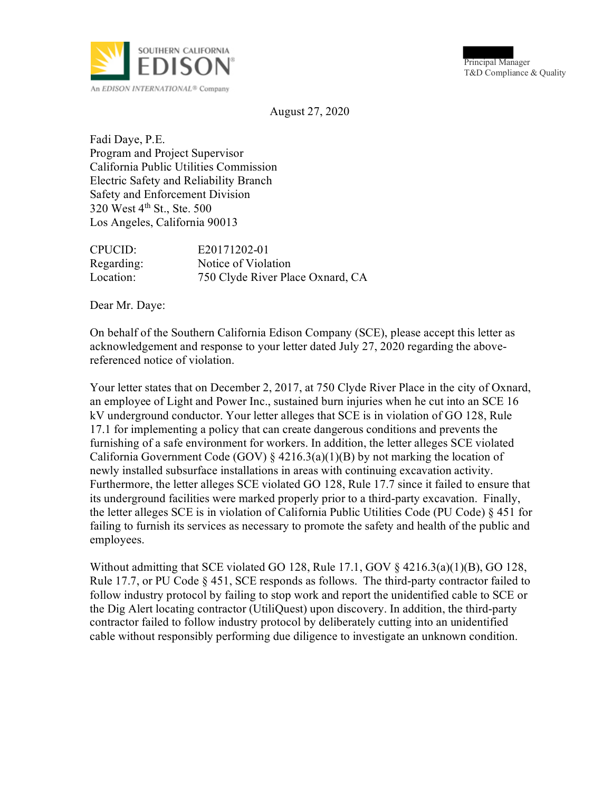

Principal Manager T&D Compliance & Quality

August 27, 2020

Fadi Daye, P.E. Program and Project Supervisor California Public Utilities Commission Electric Safety and Reliability Branch Safety and Enforcement Division 320 West 4th St., Ste. 500 Los Angeles, California 90013

| CPUCID:    | E20171202-01                     |
|------------|----------------------------------|
| Regarding: | Notice of Violation              |
| Location:  | 750 Clyde River Place Oxnard, CA |

Dear Mr. Daye:

On behalf of the Southern California Edison Company (SCE), please accept this letter as acknowledgement and response to your letter dated July 27, 2020 regarding the abovereferenced notice of violation.

Your letter states that on December 2, 2017, at 750 Clyde River Place in the city of Oxnard, an employee of Light and Power Inc., sustained burn injuries when he cut into an SCE 16 kV underground conductor. Your letter alleges that SCE is in violation of GO 128, Rule 17.1 for implementing a policy that can create dangerous conditions and prevents the furnishing of a safe environment for workers. In addition, the letter alleges SCE violated California Government Code (GOV)  $\S$  4216.3(a)(1)(B) by not marking the location of newly installed subsurface installations in areas with continuing excavation activity. Furthermore, the letter alleges SCE violated GO 128, Rule 17.7 since it failed to ensure that its underground facilities were marked properly prior to a third-party excavation. Finally, the letter alleges SCE is in violation of California Public Utilities Code (PU Code) § 451 for failing to furnish its services as necessary to promote the safety and health of the public and employees.

Without admitting that SCE violated GO 128, Rule 17.1, GOV § 4216.3(a)(1)(B), GO 128, Rule 17.7, or PU Code § 451, SCE responds as follows. The third-party contractor failed to follow industry protocol by failing to stop work and report the unidentified cable to SCE or the Dig Alert locating contractor (UtiliQuest) upon discovery. In addition, the third-party contractor failed to follow industry protocol by deliberately cutting into an unidentified cable without responsibly performing due diligence to investigate an unknown condition.